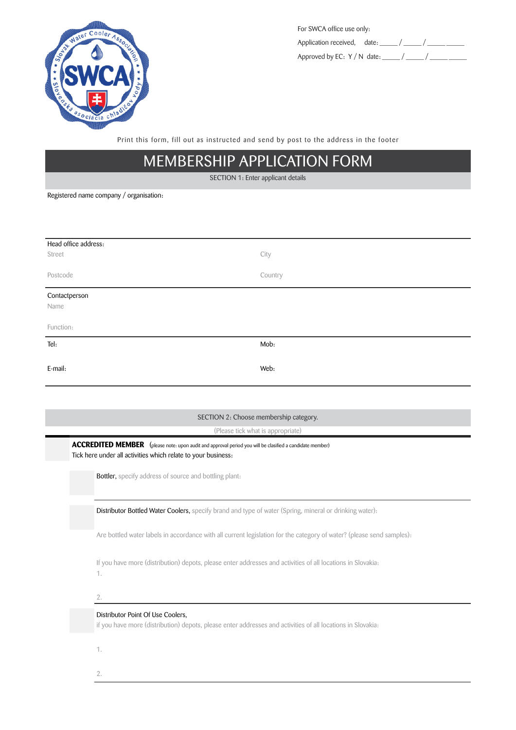

| For SWCA office use only:              |  |  |
|----------------------------------------|--|--|
| Application received, date: / /        |  |  |
| Approved by EC: $Y/N$ date: $\qquad /$ |  |  |

Print this form, fill out as instructed and send by post to the address in the footer

## MEMBERSHIP APPLICATION FORM

SECTION 1: Enter applicant details

Registered name company / organisation:

| Head office address: |         |  |  |  |
|----------------------|---------|--|--|--|
| Street               | City    |  |  |  |
|                      |         |  |  |  |
| Postcode             | Country |  |  |  |
|                      |         |  |  |  |
| Contactperson        |         |  |  |  |
| Name                 |         |  |  |  |
|                      |         |  |  |  |
| Function:            |         |  |  |  |
| Tel:                 | Mob:    |  |  |  |
|                      |         |  |  |  |
|                      |         |  |  |  |
| E-mail:              | Web:    |  |  |  |

## SECTION 2: Choose membership category.

(Please tick what is appropriate)

**ACCREDITED MEMBER** (please note: upon audit and approval period you will be clasified a candidate member) Tick here under all activities which relate to your business:

Bottler, specify address of source and bottling plant:

Distributor Bottled Water Coolers, specify brand and type of water (Spring, mineral or drinking water):

Are bottled water labels in accordance with all current legislation for the category of water? (please send samples):

If you have more (distribution) depots, please enter addresses and activities of all locations in Slovakia: 1.

2.

## Distributor Point Of Use Coolers,

if you have more (distribution) depots, please enter addresses and activities of all locations in Slovakia:

1.

2.